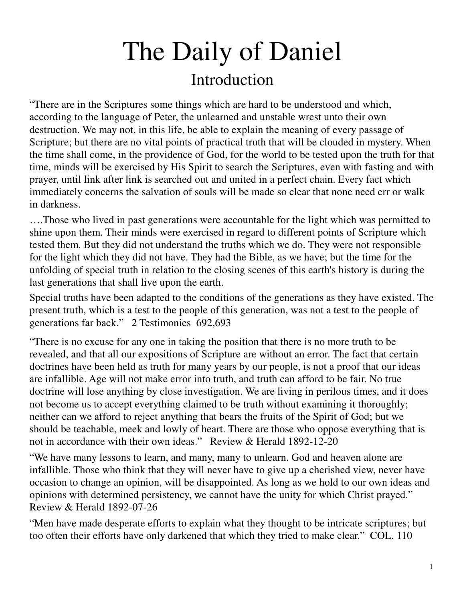# The Daily of Daniel Introduction

"There are in the Scriptures some things which are hard to be understood and which, according to the language of Peter, the unlearned and unstable wrest unto their own destruction. We may not, in this life, be able to explain the meaning of every passage of Scripture; but there are no vital points of practical truth that will be clouded in mystery. When the time shall come, in the providence of God, for the world to be tested upon the truth for that time, minds will be exercised by His Spirit to search the Scriptures, even with fasting and with prayer, until link after link is searched out and united in a perfect chain. Every fact which immediately concerns the salvation of souls will be made so clear that none need err or walk in darkness.

….Those who lived in past generations were accountable for the light which was permitted to shine upon them. Their minds were exercised in regard to different points of Scripture which tested them. But they did not understand the truths which we do. They were not responsible for the light which they did not have. They had the Bible, as we have; but the time for the unfolding of special truth in relation to the closing scenes of this earth's history is during the last generations that shall live upon the earth.

Special truths have been adapted to the conditions of the generations as they have existed. The present truth, which is a test to the people of this generation, was not a test to the people of generations far back." 2 Testimonies 692,693

"There is no excuse for any one in taking the position that there is no more truth to be revealed, and that all our expositions of Scripture are without an error. The fact that certain doctrines have been held as truth for many years by our people, is not a proof that our ideas are infallible. Age will not make error into truth, and truth can afford to be fair. No true doctrine will lose anything by close investigation. We are living in perilous times, and it does not become us to accept everything claimed to be truth without examining it thoroughly; neither can we afford to reject anything that bears the fruits of the Spirit of God; but we should be teachable, meek and lowly of heart. There are those who oppose everything that is not in accordance with their own ideas." Review & Herald 1892-12-20

"We have many lessons to learn, and many, many to unlearn. God and heaven alone are infallible. Those who think that they will never have to give up a cherished view, never have occasion to change an opinion, will be disappointed. As long as we hold to our own ideas and opinions with determined persistency, we cannot have the unity for which Christ prayed." Review & Herald 1892-07-26

"Men have made desperate efforts to explain what they thought to be intricate scriptures; but too often their efforts have only darkened that which they tried to make clear." COL. 110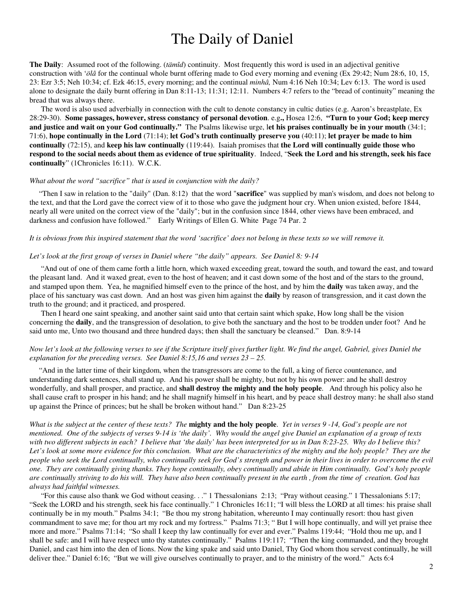## The Daily of Daniel

**The Daily**: Assumed root of the following. (*tämîd*) continuity. Most frequently this word is used in an adjectival genitive construction with '*ölâ* for the continual whole burnt offering made to God every morning and evening (Ex 29:42; Num 28:6, 10, 15, 23: Ezr 3:5; Neh 10:34; cf. Ezk 46:15, every morning; and the continual *minhâ,* Num 4:16 Neh 10:34; Lev 6:13. The word is used alone to designate the daily burnt offering in Dan 8:11-13; 11:31; 12:11. Numbers 4:7 refers to the "bread of continuity" meaning the bread that was always there.

 The word is also used adverbially in connection with the cult to denote constancy in cultic duties (e.g. Aaron's breastplate, Ex 28:29-30). **Some passages, however, stress constancy of personal devotion**. e.g**.,** Hosea 12:6, **"Turn to your God; keep mercy and justice and wait on your God continually."** The Psalms likewise urge, l**et his praises continually be in your mouth** (34:1; 71:6), **hope continually in the Lord** (71:14); **let God's truth continually preserve you** (40:11); **let prayer be made to him continually** (72:15), and **keep his law continually** (119:44). Isaiah promises that **the Lord will continually guide those who respond to the social needs about them as evidence of true spirituality**. Indeed, "**Seek the Lord and his strength, seek his face continually**" (1Chronicles 16:11). W.C.K.

#### *What about the word "sacrifice" that is used in conjunction with the daily?*

 "Then I saw in relation to the "daily" (Dan. 8:12) that the word "**sacrifice**" was supplied by man's wisdom, and does not belong to the text, and that the Lord gave the correct view of it to those who gave the judgment hour cry. When union existed, before 1844, nearly all were united on the correct view of the "daily"; but in the confusion since 1844, other views have been embraced, and darkness and confusion have followed." Early Writings of Ellen G. White Page 74 Par. 2

#### *It is obvious from this inspired statement that the word 'sacrifice' does not belong in these texts so we will remove it.*

#### *Let's look at the first group of verses in Daniel where "the daily" appears. See Daniel 8: 9-14*

 "And out of one of them came forth a little horn, which waxed exceeding great, toward the south, and toward the east, and toward the pleasant land. And it waxed great, even to the host of heaven; and it cast down some of the host and of the stars to the ground, and stamped upon them. Yea, he magnified himself even to the prince of the host, and by him the **daily** was taken away, and the place of his sanctuary was cast down. And an host was given him against the **daily** by reason of transgression, and it cast down the truth to the ground; and it practiced, and prospered.

 Then I heard one saint speaking, and another saint said unto that certain saint which spake, How long shall be the vision concerning the **daily**, and the transgression of desolation, to give both the sanctuary and the host to be trodden under foot? And he said unto me, Unto two thousand and three hundred days; then shall the sanctuary be cleansed." Dan. 8:9-14

#### *Now let's look at the following verses to see if the Scripture itself gives further light. We find the angel, Gabriel, gives Daniel the explanation for the preceding verses. See Daniel 8:15,16 and verses 23 – 25.*

 "And in the latter time of their kingdom, when the transgressors are come to the full, a king of fierce countenance, and understanding dark sentences, shall stand up. And his power shall be mighty, but not by his own power: and he shall destroy wonderfully, and shall prosper, and practice, and **shall destroy the mighty and the holy people**. And through his policy also he shall cause craft to prosper in his hand; and he shall magnify himself in his heart, and by peace shall destroy many: he shall also stand up against the Prince of princes; but he shall be broken without hand." Dan 8:23-25

*What is the subject at the center of these texts? The* **mighty and the holy people**. *Yet in verses 9 -14, God's people are not mentioned. One of the subjects of verses 9-14 is 'the daily'. Why would the angel give Daniel an explanation of a group of texts with two different subjects in each? I believe that 'the daily' has been interpreted for us in Dan 8:23-25. Why do I believe this?*  Let's look at some more evidence for this conclusion. What are the characteristics of the mighty and the holy people? They are the *people who seek the Lord continually, who continually seek for God's strength and power in their lives in order to overcome the evil one. They are continually giving thanks. They hope continually, obey continually and abide in Him continually. God's holy people are continually striving to do his will. They have also been continually present in the earth , from the time of creation. God has always had faithful witnesses.* 

 "For this cause also thank we God without ceasing. . ." 1 Thessalonians 2:13; "Pray without ceasing." 1 Thessalonians 5:17; "Seek the LORD and his strength, seek his face continually." 1 Chronicles 16:11; "I will bless the LORD at all times: his praise shall continually be in my mouth." Psalms 34:1; "Be thou my strong habitation, whereunto I may continually resort: thou hast given commandment to save me; for thou art my rock and my fortress." Psalms 71:3; " But I will hope continually, and will yet praise thee more and more." Psalms 71:14; "So shall I keep thy law continually for ever and ever." Psalms 119:44; "Hold thou me up, and I shall be safe: and I will have respect unto thy statutes continually." Psalms 119:117; "Then the king commanded, and they brought Daniel, and cast him into the den of lions. Now the king spake and said unto Daniel, Thy God whom thou servest continually, he will deliver thee." Daniel 6:16; "But we will give ourselves continually to prayer, and to the ministry of the word." Acts 6:4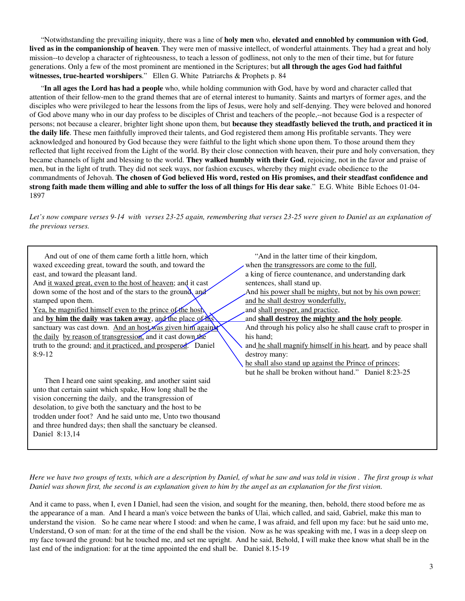"Notwithstanding the prevailing iniquity, there was a line of **holy men** who, **elevated and ennobled by communion with God**, **lived as in the companionship of heaven**. They were men of massive intellect, of wonderful attainments. They had a great and holy mission--to develop a character of righteousness, to teach a lesson of godliness, not only to the men of their time, but for future generations. Only a few of the most prominent are mentioned in the Scriptures; but **all through the ages God had faithful witnesses, true-hearted worshipers**." Ellen G. White Patriarchs & Prophets p. 84

 "**In all ages the Lord has had a people** who, while holding communion with God, have by word and character called that attention of their fellow-men to the grand themes that are of eternal interest to humanity. Saints and martyrs of former ages, and the disciples who were privileged to hear the lessons from the lips of Jesus, were holy and self-denying. They were beloved and honored of God above many who in our day profess to be disciples of Christ and teachers of the people,--not because God is a respecter of persons; not because a clearer, brighter light shone upon them, but **because they steadfastly believed the truth, and practiced it in the daily life**. These men faithfully improved their talents, and God registered them among His profitable servants. They were acknowledged and honoured by God because they were faithful to the light which shone upon them. To those around them they reflected that light received from the Light of the world. By their close connection with heaven, their pure and holy conversation, they became channels of light and blessing to the world. **They walked humbly with their God**, rejoicing, not in the favor and praise of men, but in the light of truth. They did not seek ways, nor fashion excuses, whereby they might evade obedience to the commandments of Jehovah. **The chosen of God believed His word, rested on His promises, and their steadfast confidence and strong faith made them willing and able to suffer the loss of all things for His dear sake**." E.G. White Bible Echoes 01-04- 1897

Let's now compare verses 9-14 with verses 23-25 again, remembering that verses 23-25 were given to Daniel as an explanation of *the previous verses.* 

| And out of one of them came forth a little horn, which<br>waxed exceeding great, toward the south, and toward the<br>east, and toward the pleasant land.<br>And it waxed great, even to the host of heaven; and it cast<br>down some of the host and of the stars to the ground, and<br>stamped upon them.<br><u>Yea, he magnified himself even to the prince of the host</u><br>and by him the daily was taken away, and the place of his<br>sanctuary was cast down. And an host was given him against<br>the daily by reason of transgression, and it cast down the<br>truth to the ground; and it practiced, and prospered. Daniel<br>$8:9-12$ | "And in the latter time of their kingdom,<br>when the transgressors are come to the full,<br>a king of fierce countenance, and understanding dark<br>sentences, shall stand up.<br>And his power shall be mighty, but not by his own power:<br>and he shall destroy wonderfully,<br>and shall prosper, and practice,<br>and shall destroy the mighty and the holy people.<br>And through his policy also he shall cause craft to prosper in<br>his hand;<br>and he shall magnify himself in his heart, and by peace shall<br>destroy many: |  |
|----------------------------------------------------------------------------------------------------------------------------------------------------------------------------------------------------------------------------------------------------------------------------------------------------------------------------------------------------------------------------------------------------------------------------------------------------------------------------------------------------------------------------------------------------------------------------------------------------------------------------------------------------|--------------------------------------------------------------------------------------------------------------------------------------------------------------------------------------------------------------------------------------------------------------------------------------------------------------------------------------------------------------------------------------------------------------------------------------------------------------------------------------------------------------------------------------------|--|
|                                                                                                                                                                                                                                                                                                                                                                                                                                                                                                                                                                                                                                                    | he shall also stand up against the Prince of princes;                                                                                                                                                                                                                                                                                                                                                                                                                                                                                      |  |
|                                                                                                                                                                                                                                                                                                                                                                                                                                                                                                                                                                                                                                                    | but he shall be broken without hand." Daniel 8:23-25                                                                                                                                                                                                                                                                                                                                                                                                                                                                                       |  |
| Then I heard one saint speaking, and another saint said                                                                                                                                                                                                                                                                                                                                                                                                                                                                                                                                                                                            |                                                                                                                                                                                                                                                                                                                                                                                                                                                                                                                                            |  |
| unto that certain saint which spake, How long shall be the                                                                                                                                                                                                                                                                                                                                                                                                                                                                                                                                                                                         |                                                                                                                                                                                                                                                                                                                                                                                                                                                                                                                                            |  |
| vision concerning the daily, and the transgression of                                                                                                                                                                                                                                                                                                                                                                                                                                                                                                                                                                                              |                                                                                                                                                                                                                                                                                                                                                                                                                                                                                                                                            |  |
| desolation, to give both the sanctuary and the host to be                                                                                                                                                                                                                                                                                                                                                                                                                                                                                                                                                                                          |                                                                                                                                                                                                                                                                                                                                                                                                                                                                                                                                            |  |
| trodden under foot? And he said unto me, Unto two thousand                                                                                                                                                                                                                                                                                                                                                                                                                                                                                                                                                                                         |                                                                                                                                                                                                                                                                                                                                                                                                                                                                                                                                            |  |
| and three hundred days; then shall the sanctuary be cleansed.                                                                                                                                                                                                                                                                                                                                                                                                                                                                                                                                                                                      |                                                                                                                                                                                                                                                                                                                                                                                                                                                                                                                                            |  |
| Daniel 8:13.14                                                                                                                                                                                                                                                                                                                                                                                                                                                                                                                                                                                                                                     |                                                                                                                                                                                                                                                                                                                                                                                                                                                                                                                                            |  |

*Here we have two groups of texts, which are a description by Daniel, of what he saw and was told in vision . The first group is what Daniel was shown first, the second is an explanation given to him by the angel as an explanation for the first vision.* 

And it came to pass, when I, even I Daniel, had seen the vision, and sought for the meaning, then, behold, there stood before me as the appearance of a man. And I heard a man's voice between the banks of Ulai, which called, and said, Gabriel, make this man to understand the vision. So he came near where I stood: and when he came, I was afraid, and fell upon my face: but he said unto me, Understand, O son of man: for at the time of the end shall be the vision. Now as he was speaking with me, I was in a deep sleep on my face toward the ground: but he touched me, and set me upright. And he said, Behold, I will make thee know what shall be in the last end of the indignation: for at the time appointed the end shall be. Daniel 8.15-19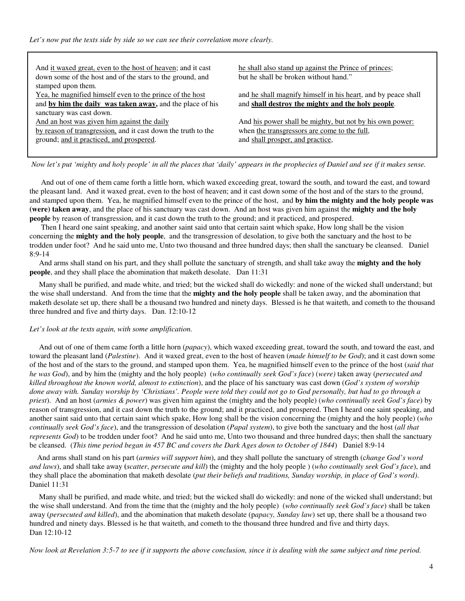*Let's now put the texts side by side so we can see their correlation more clearly.* 

And it waxed great, even to the host of heaven; and it cast down some of the host and of the stars to the ground, and stamped upon them.

Yea, he magnified himself even to the prince of the host and **by him the daily was taken away,** and the place of his sanctuary was cast down.

And an host was given him against the daily

by reason of transgression, and it cast down the truth to the ground; and it practiced, and prospered.

he shall also stand up against the Prince of princes; but he shall be broken without hand."

and he shall magnify himself in his heart, and by peace shall and **shall destroy the mighty and the holy people**.

And his power shall be mighty, but not by his own power: when the transgressors are come to the full, and shall prosper, and practice,

 *Now let's put 'mighty and holy people' in all the places that 'daily' appears in the prophecies of Daniel and see if it makes sense.* 

 And out of one of them came forth a little horn, which waxed exceeding great, toward the south, and toward the east, and toward the pleasant land. And it waxed great, even to the host of heaven; and it cast down some of the host and of the stars to the ground, and stamped upon them. Yea, he magnified himself even to the prince of the host, and **by him the mighty and the holy people was (were) taken away**, and the place of his sanctuary was cast down. And an host was given him against the **mighty and the holy people** by reason of transgression, and it cast down the truth to the ground; and it practiced, and prospered.

 Then I heard one saint speaking, and another saint said unto that certain saint which spake, How long shall be the vision concerning the **mighty and the holy people**, and the transgression of desolation, to give both the sanctuary and the host to be trodden under foot? And he said unto me, Unto two thousand and three hundred days; then shall the sanctuary be cleansed. Daniel 8:9-14

 And arms shall stand on his part, and they shall pollute the sanctuary of strength, and shall take away the **mighty and the holy people**, and they shall place the abomination that maketh desolate. Dan 11:31

 Many shall be purified, and made white, and tried; but the wicked shall do wickedly: and none of the wicked shall understand; but the wise shall understand. And from the time that the **mighty and the holy people** shall be taken away, and the abomination that maketh desolate set up, there shall be a thousand two hundred and ninety days. Blessed is he that waiteth, and cometh to the thousand three hundred and five and thirty days. Dan. 12:10-12

#### *Let's look at the texts again, with some amplification.*

 And out of one of them came forth a little horn (*papacy*), which waxed exceeding great, toward the south, and toward the east, and toward the pleasant land (*Palestine*). And it waxed great, even to the host of heaven (*made himself to be God*); and it cast down some of the host and of the stars to the ground, and stamped upon them. Yea, he magnified himself even to the prince of the host (*said that he was God*), and by him the (mighty and the holy people)(*who continually seek God's face*) (*were)* taken away (*persecuted and killed throughout the known world, almost to extinction*), and the place of his sanctuary was cast down (*God's system of worship done away with. Sunday worship by 'Christians'. People were told they could not go to God personally, but had to go through a priest*). And an host (*armies & power*) was given him against the (mighty and the holy people) (*who continually seek God's face*) by reason of transgression, and it cast down the truth to the ground; and it practiced, and prospered. Then I heard one saint speaking, and another saint said unto that certain saint which spake, How long shall be the vision concerning the (mighty and the holy people) (*who continually seek God's face*), and the transgression of desolation (*Papal system*), to give both the sanctuary and the host (*all that represents God*) to be trodden under foot? And he said unto me, Unto two thousand and three hundred days; then shall the sanctuary be cleansed. (*This time period began in 457 BC and covers the Dark Ages down to October of 1844*) Daniel 8:9-14

 And arms shall stand on his part (*armies will support him*), and they shall pollute the sanctuary of strength (c*hange God's word and laws*), and shall take away **(***scatter*, *persecute and kill*) the (mighty and the holy people ) (*who continually seek God's face*), and they shall place the abomination that maketh desolate (*put their beliefs and traditions, Sunday worship, in place of God's word)*. Daniel 11:31

 Many shall be purified, and made white, and tried; but the wicked shall do wickedly: and none of the wicked shall understand; but the wise shall understand. And from the time that the (mighty and the holy people) (*who continually seek God's face*) shall be taken away (*persecuted and killed*), and the abomination that maketh desolate (p*apacy, Sunday law*) set up, there shall be a thousand two hundred and ninety days. Blessed is he that waiteth, and cometh to the thousand three hundred and five and thirty days. Dan 12:10-12

*Now look at Revelation 3:5-7 to see if it supports the above conclusion, since it is dealing with the same subject and time period.*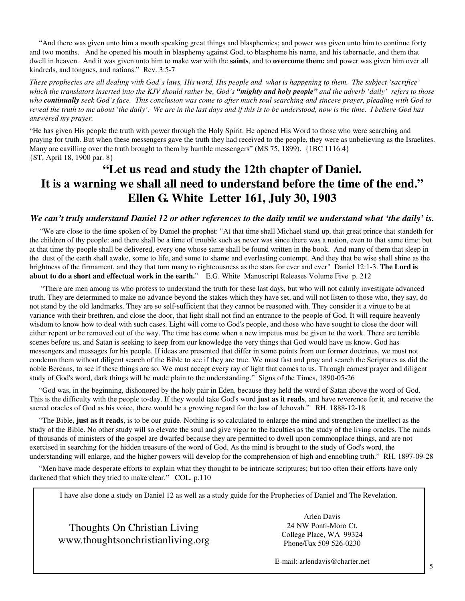"And there was given unto him a mouth speaking great things and blasphemies; and power was given unto him to continue forty and two months. And he opened his mouth in blasphemy against God, to blaspheme his name, and his tabernacle, and them that dwell in heaven. And it was given unto him to make war with the **saints**, and to **overcome them:** and power was given him over all kindreds, and tongues, and nations." Rev. 3:5-7

*These prophecies are all dealing with God's laws, His word, His people and what is happening to them. The subject 'sacrifice' which the translators inserted into the KJV should rather be, God's "mighty and holy people" and the adverb 'daily' refers to those who continually seek God's face. This conclusion was come to after much soul searching and sincere prayer, pleading with God to reveal the truth to me about 'the daily'. We are in the last days and if this is to be understood, now is the time. I believe God has answered my prayer.* 

"He has given His people the truth with power through the Holy Spirit. He opened His Word to those who were searching and praying for truth. But when these messengers gave the truth they had received to the people, they were as unbelieving as the Israelites. Many are cavilling over the truth brought to them by humble messengers" (MS 75, 1899). {1BC 1116.4} {ST, April 18, 1900 par. 8}

### **"Let us read and study the 12th chapter of Daniel. It is a warning we shall all need to understand before the time of the end." Ellen G. White Letter 161, July 30, 1903**

#### *We can't truly understand Daniel 12 or other references to the daily until we understand what 'the daily' is.*

 "We are close to the time spoken of by Daniel the prophet: "At that time shall Michael stand up, that great prince that standeth for the children of thy people: and there shall be a time of trouble such as never was since there was a nation, even to that same time: but at that time thy people shall be delivered, every one whose same shall be found written in the book. And many of them that sleep in the dust of the earth shall awake, some to life, and some to shame and everlasting contempt. And they that be wise shall shine as the brightness of the firmament, and they that turn many to righteousness as the stars for ever and ever" Daniel 12:1-3. **The Lord is about to do a short and effectual work in the earth.**"E.G. White Manuscript Releases Volume Five p. 212

 "There are men among us who profess to understand the truth for these last days, but who will not calmly investigate advanced truth. They are determined to make no advance beyond the stakes which they have set, and will not listen to those who, they say, do not stand by the old landmarks. They are so self-sufficient that they cannot be reasoned with. They consider it a virtue to be at variance with their brethren, and close the door, that light shall not find an entrance to the people of God. It will require heavenly wisdom to know how to deal with such cases. Light will come to God's people, and those who have sought to close the door will either repent or be removed out of the way. The time has come when a new impetus must be given to the work. There are terrible scenes before us, and Satan is seeking to keep from our knowledge the very things that God would have us know. God has messengers and messages for his people. If ideas are presented that differ in some points from our former doctrines, we must not condemn them without diligent search of the Bible to see if they are true. We must fast and pray and search the Scriptures as did the noble Bereans, to see if these things are so. We must accept every ray of light that comes to us. Through earnest prayer and diligent study of God's word, dark things will be made plain to the understanding." Signs of the Times, 1890-05-26

 "God was, in the beginning, dishonored by the holy pair in Eden, because they held the word of Satan above the word of God. This is the difficulty with the people to-day. If they would take God's word **just as it reads**, and have reverence for it, and receive the sacred oracles of God as his voice, there would be a growing regard for the law of Jehovah." RH. 1888-12-18

 "The Bible, **just as it reads**, is to be our guide. Nothing is so calculated to enlarge the mind and strengthen the intellect as the study of the Bible. No other study will so elevate the soul and give vigor to the faculties as the study of the living oracles. The minds of thousands of ministers of the gospel are dwarfed because they are permitted to dwell upon commonplace things, and are not exercised in searching for the hidden treasure of the word of God. As the mind is brought to the study of God's word, the understanding will enlarge, and the higher powers will develop for the comprehension of high and ennobling truth." RH. 1897-09-28

 "Men have made desperate efforts to explain what they thought to be intricate scriptures; but too often their efforts have only darkened that which they tried to make clear." COL. p.110

I have also done a study on Daniel 12 as well as a study guide for the Prophecies of Daniel and The Revelation.

Thoughts On Christian Living www.thoughtsonchristianliving.org

 Arlen Davis 24 NW Ponti-Moro Ct. College Place, WA 99324 Phone/Fax 509 526-0230

E-mail: arlendavis@charter.net